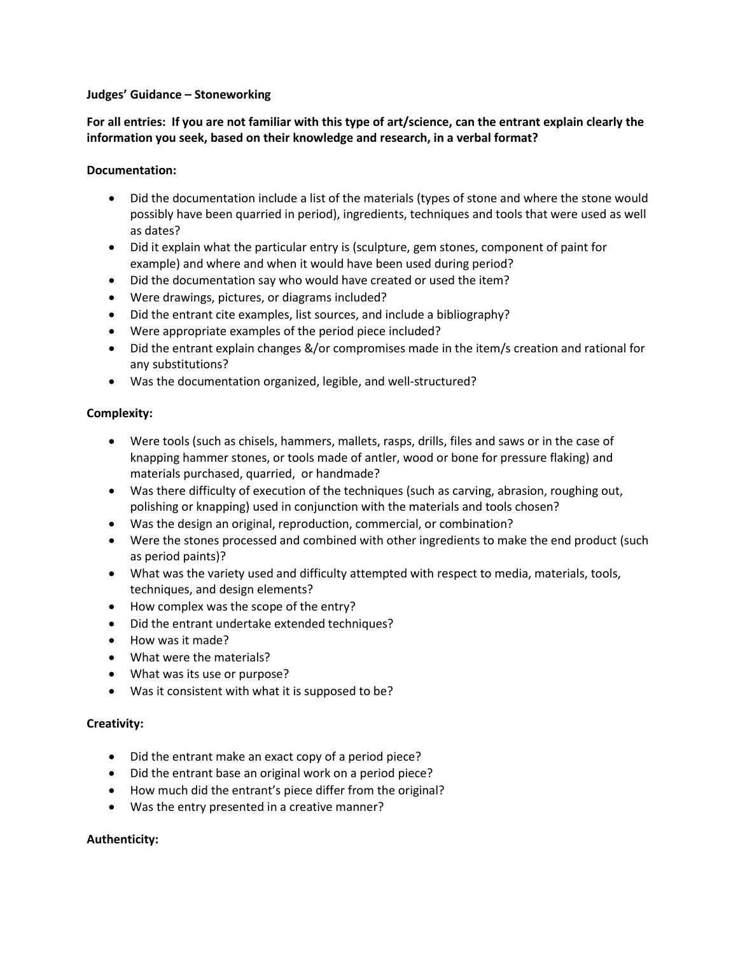#### **Judges' Guidance – Stoneworking**

**For all entries: If you are not familiar with this type of art/science, can the entrant explain clearly the information you seek, based on their knowledge and research, in a verbal format?** 

#### **Documentation:**

- Did the documentation include a list of the materials (types of stone and where the stone would possibly have been quarried in period), ingredients, techniques and tools that were used as well as dates?
- Did it explain what the particular entry is (sculpture, gem stones, component of paint for example) and where and when it would have been used during period?
- Did the documentation say who would have created or used the item?
- Were drawings, pictures, or diagrams included?
- Did the entrant cite examples, list sources, and include a bibliography?
- Were appropriate examples of the period piece included?
- Did the entrant explain changes &/or compromises made in the item/s creation and rational for any substitutions?
- Was the documentation organized, legible, and well-structured?

#### **Complexity:**

- Were tools (such as chisels, hammers, mallets, rasps, drills, files and saws or in the case of knapping hammer stones, or tools made of antler, wood or bone for pressure flaking) and materials purchased, quarried, or handmade?
- Was there difficulty of execution of the techniques (such as carving, abrasion, roughing out, polishing or knapping) used in conjunction with the materials and tools chosen?
- Was the design an original, reproduction, commercial, or combination?
- Were the stones processed and combined with other ingredients to make the end product (such as period paints)?
- What was the variety used and difficulty attempted with respect to media, materials, tools, techniques, and design elements?
- How complex was the scope of the entry?
- Did the entrant undertake extended techniques?
- How was it made?
- What were the materials?
- What was its use or purpose?
- Was it consistent with what it is supposed to be?

# **Creativity:**

- Did the entrant make an exact copy of a period piece?
- Did the entrant base an original work on a period piece?
- How much did the entrant's piece differ from the original?
- Was the entry presented in a creative manner?

# **Authenticity:**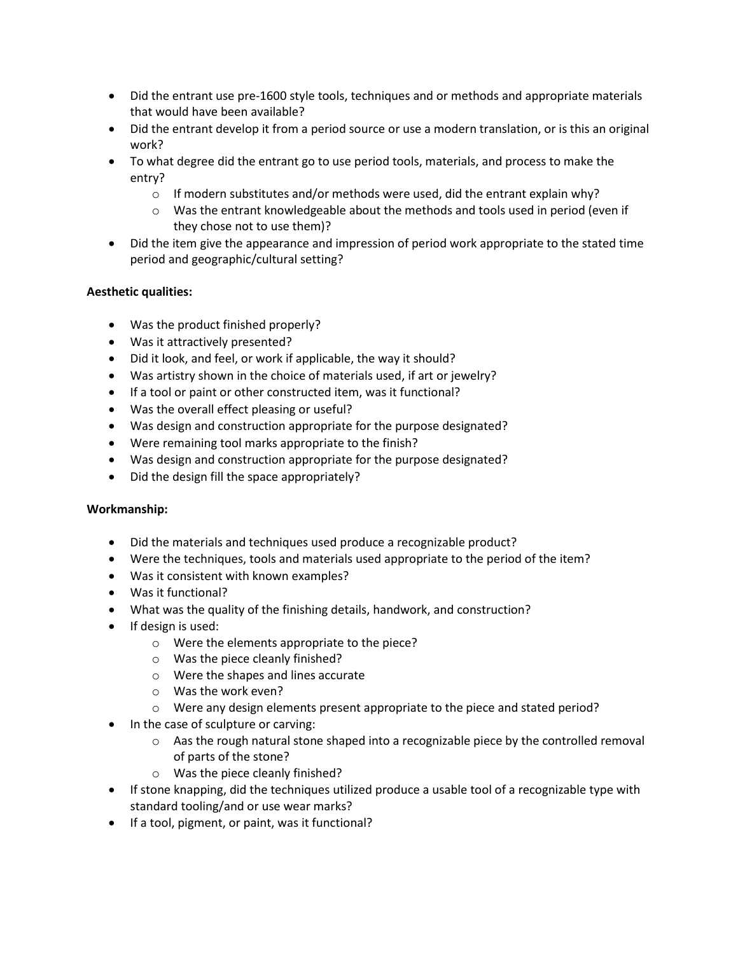- Did the entrant use pre-1600 style tools, techniques and or methods and appropriate materials that would have been available?
- Did the entrant develop it from a period source or use a modern translation, or is this an original work?
- To what degree did the entrant go to use period tools, materials, and process to make the entry?
	- $\circ$  If modern substitutes and/or methods were used, did the entrant explain why?
	- $\circ$  Was the entrant knowledgeable about the methods and tools used in period (even if they chose not to use them)?
- Did the item give the appearance and impression of period work appropriate to the stated time period and geographic/cultural setting?

# **Aesthetic qualities:**

- Was the product finished properly?
- Was it attractively presented?
- Did it look, and feel, or work if applicable, the way it should?
- Was artistry shown in the choice of materials used, if art or jewelry?
- If a tool or paint or other constructed item, was it functional?
- Was the overall effect pleasing or useful?
- Was design and construction appropriate for the purpose designated?
- Were remaining tool marks appropriate to the finish?
- Was design and construction appropriate for the purpose designated?
- Did the design fill the space appropriately?

# **Workmanship:**

- Did the materials and techniques used produce a recognizable product?
- Were the techniques, tools and materials used appropriate to the period of the item?
- Was it consistent with known examples?
- Was it functional?
- What was the quality of the finishing details, handwork, and construction?
- If design is used:
	- o Were the elements appropriate to the piece?
	- o Was the piece cleanly finished?
	- o Were the shapes and lines accurate
	- o Was the work even?
	- o Were any design elements present appropriate to the piece and stated period?
- In the case of sculpture or carving:
	- $\circ$  Aas the rough natural stone shaped into a recognizable piece by the controlled removal of parts of the stone?
	- o Was the piece cleanly finished?
- If stone knapping, did the techniques utilized produce a usable tool of a recognizable type with standard tooling/and or use wear marks?
- If a tool, pigment, or paint, was it functional?